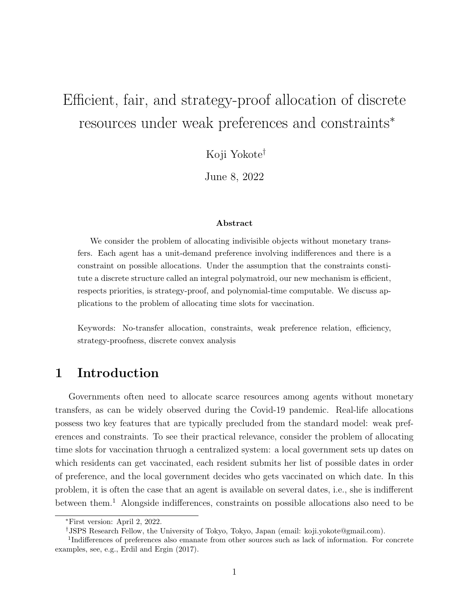# Efficient, fair, and strategy-proof allocation of discrete resources under weak preferences and constraints<sup>∗</sup>

Koji Yokote†

June 8, 2022

#### Abstract

We consider the problem of allocating indivisible objects without monetary transfers. Each agent has a unit-demand preference involving indifferences and there is a constraint on possible allocations. Under the assumption that the constraints constitute a discrete structure called an integral polymatroid, our new mechanism is efficient, respects priorities, is strategy-proof, and polynomial-time computable. We discuss applications to the problem of allocating time slots for vaccination.

Keywords: No-transfer allocation, constraints, weak preference relation, efficiency, strategy-proofness, discrete convex analysis

# 1 Introduction

Governments often need to allocate scarce resources among agents without monetary transfers, as can be widely observed during the Covid-19 pandemic. Real-life allocations possess two key features that are typically precluded from the standard model: weak preferences and constraints. To see their practical relevance, consider the problem of allocating time slots for vaccination thruogh a centralized system: a local government sets up dates on which residents can get vaccinated, each resident submits her list of possible dates in order of preference, and the local government decides who gets vaccinated on which date. In this problem, it is often the case that an agent is available on several dates, i.e., she is indifferent between them.<sup>1</sup> Alongside indifferences, constraints on possible allocations also need to be

<sup>∗</sup>First version: April 2, 2022.

<sup>†</sup>JSPS Research Fellow, the University of Tokyo, Tokyo, Japan (email: koji.yokote@gmail.com).

<sup>&</sup>lt;sup>1</sup>Indifferences of preferences also emanate from other sources such as lack of information. For concrete examples, see, e.g., Erdil and Ergin (2017).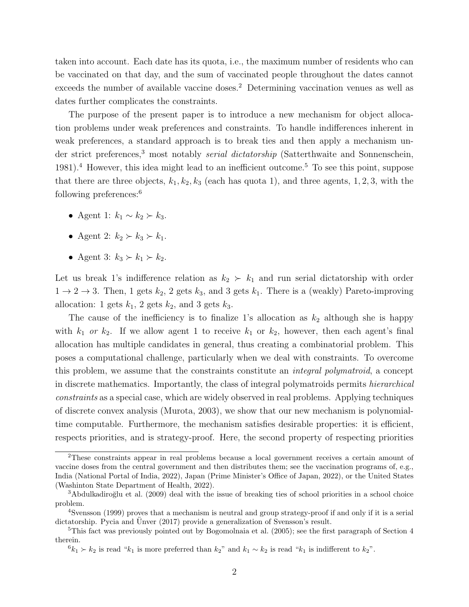taken into account. Each date has its quota, i.e., the maximum number of residents who can be vaccinated on that day, and the sum of vaccinated people throughout the dates cannot exceeds the number of available vaccine doses.<sup>2</sup> Determining vaccination venues as well as dates further complicates the constraints.

The purpose of the present paper is to introduce a new mechanism for object allocation problems under weak preferences and constraints. To handle indifferences inherent in weak preferences, a standard approach is to break ties and then apply a mechanism under strict preferences,<sup>3</sup> most notably *serial dictatorship* (Satterthwaite and Sonnenschein, 1981).<sup>4</sup> However, this idea might lead to an inefficient outcome.<sup>5</sup> To see this point, suppose that there are three objects,  $k_1, k_2, k_3$  (each has quota 1), and three agents, 1, 2, 3, with the following preferences:<sup>6</sup>

- Agent 1:  $k_1 \sim k_2 \succ k_3$ .
- Agent 2:  $k_2 \succ k_3 \succ k_1$ .
- Agent 3:  $k_3 \succ k_1 \succ k_2$ .

Let us break 1's indifference relation as  $k_2 \succ k_1$  and run serial dictatorship with order  $1 \rightarrow 2 \rightarrow 3$ . Then, 1 gets  $k_2$ , 2 gets  $k_3$ , and 3 gets  $k_1$ . There is a (weakly) Pareto-improving allocation: 1 gets  $k_1$ , 2 gets  $k_2$ , and 3 gets  $k_3$ .

The cause of the inefficiency is to finalize 1's allocation as  $k_2$  although she is happy with  $k_1$  or  $k_2$ . If we allow agent 1 to receive  $k_1$  or  $k_2$ , however, then each agent's final allocation has multiple candidates in general, thus creating a combinatorial problem. This poses a computational challenge, particularly when we deal with constraints. To overcome this problem, we assume that the constraints constitute an integral polymatroid, a concept in discrete mathematics. Importantly, the class of integral polymatroids permits hierarchical constraints as a special case, which are widely observed in real problems. Applying techniques of discrete convex analysis (Murota, 2003), we show that our new mechanism is polynomialtime computable. Furthermore, the mechanism satisfies desirable properties: it is efficient, respects priorities, and is strategy-proof. Here, the second property of respecting priorities

<sup>2</sup>These constraints appear in real problems because a local government receives a certain amount of vaccine doses from the central government and then distributes them; see the vaccination programs of, e.g., India (National Portal of India, 2022), Japan (Prime Minister's Office of Japan, 2022), or the United States (Washinton State Department of Health, 2022).

<sup>&</sup>lt;sup>3</sup>Abdulkadiroğlu et al. (2009) deal with the issue of breaking ties of school priorities in a school choice problem.

<sup>4</sup>Svensson (1999) proves that a mechanism is neutral and group strategy-proof if and only if it is a serial dictatorship. Pycia and Unver  $(2017)$  provide a generalization of Svensson's result.

<sup>&</sup>lt;sup>5</sup>This fact was previously pointed out by Bogomolnaia et al. (2005); see the first paragraph of Section 4 therein.

 $6k_1 \succ k_2$  is read "k<sub>1</sub> is more preferred than  $k_2$ " and  $k_1 \sim k_2$  is read "k<sub>1</sub> is indifferent to  $k_2$ ".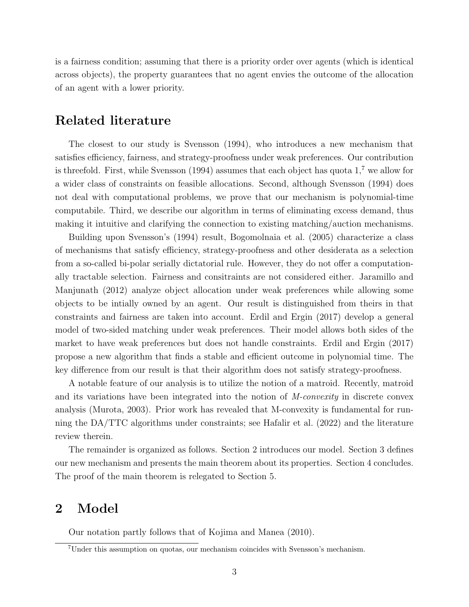is a fairness condition; assuming that there is a priority order over agents (which is identical across objects), the property guarantees that no agent envies the outcome of the allocation of an agent with a lower priority.

### Related literature

The closest to our study is Svensson (1994), who introduces a new mechanism that satisfies efficiency, fairness, and strategy-proofness under weak preferences. Our contribution is threefold. First, while Svensson (1994) assumes that each object has quota  $1<sup>7</sup>$  we allow for a wider class of constraints on feasible allocations. Second, although Svensson (1994) does not deal with computational problems, we prove that our mechanism is polynomial-time computabile. Third, we describe our algorithm in terms of eliminating excess demand, thus making it intuitive and clarifying the connection to existing matching/auction mechanisms.

Building upon Svensson's (1994) result, Bogomolnaia et al. (2005) characterize a class of mechanisms that satisfy efficiency, strategy-proofness and other desiderata as a selection from a so-called bi-polar serially dictatorial rule. However, they do not offer a computationally tractable selection. Fairness and consitraints are not considered either. Jaramillo and Manjunath (2012) analyze object allocation under weak preferences while allowing some objects to be intially owned by an agent. Our result is distinguished from theirs in that constraints and fairness are taken into account. Erdil and Ergin (2017) develop a general model of two-sided matching under weak preferences. Their model allows both sides of the market to have weak preferences but does not handle constraints. Erdil and Ergin (2017) propose a new algorithm that finds a stable and efficient outcome in polynomial time. The key difference from our result is that their algorithm does not satisfy strategy-proofness.

A notable feature of our analysis is to utilize the notion of a matroid. Recently, matroid and its variations have been integrated into the notion of M-convexity in discrete convex analysis (Murota, 2003). Prior work has revealed that M-convexity is fundamental for running the DA/TTC algorithms under constraints; see Hafalir et al. (2022) and the literature review therein.

The remainder is organized as follows. Section 2 introduces our model. Section 3 defines our new mechanism and presents the main theorem about its properties. Section 4 concludes. The proof of the main theorem is relegated to Section 5.

# 2 Model

Our notation partly follows that of Kojima and Manea (2010).

<sup>7</sup>Under this assumption on quotas, our mechanism coincides with Svensson's mechanism.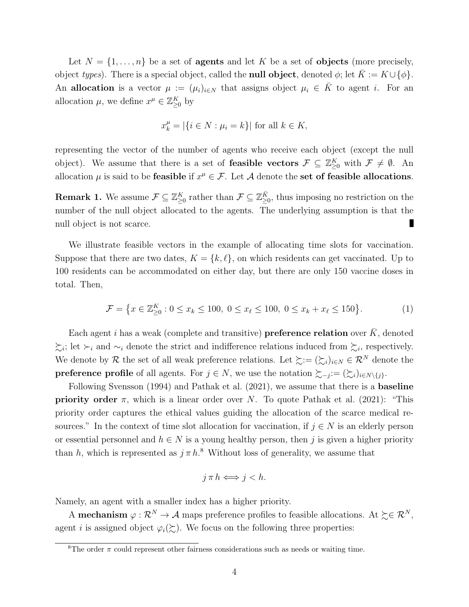Let  $N = \{1, \ldots, n\}$  be a set of **agents** and let K be a set of **objects** (more precisely, object types). There is a special object, called the **null object**, denoted  $\phi$ ; let  $K := K \cup \{\phi\}$ . An allocation is a vector  $\mu := (\mu_i)_{i \in N}$  that assigns object  $\mu_i \in \overline{K}$  to agent *i*. For an allocation  $\mu$ , we define  $x^{\mu} \in \mathbb{Z}_{\geq 0}^K$  by

$$
x_k^{\mu} = |\{i \in N : \mu_i = k\}| \text{ for all } k \in K,
$$

representing the vector of the number of agents who receive each object (except the null object). We assume that there is a set of **feasible vectors**  $\mathcal{F} \subseteq \mathbb{Z}_{\geq 0}^K$  with  $\mathcal{F} \neq \emptyset$ . An allocation  $\mu$  is said to be feasible if  $x^{\mu} \in \mathcal{F}$ . Let A denote the set of feasible allocations.

**Remark 1.** We assume  $\mathcal{F} \subseteq \mathbb{Z}_{\geq 0}^K$  rather than  $\mathcal{F} \subseteq \mathbb{Z}_{\geq 0}^{\bar{K}}$ , thus imposing no restriction on the number of the null object allocated to the agents. The underlying assumption is that the п null object is not scarce.

We illustrate feasible vectors in the example of allocating time slots for vaccination. Suppose that there are two dates,  $K = \{k, \ell\}$ , on which residents can get vaccinated. Up to 100 residents can be accommodated on either day, but there are only 150 vaccine doses in total. Then,

$$
\mathcal{F} = \left\{ x \in \mathbb{Z}_{\geq 0}^K : 0 \leq x_k \leq 100, \ 0 \leq x_\ell \leq 100, \ 0 \leq x_k + x_\ell \leq 150 \right\}.
$$
 (1)

Each agent i has a weak (complete and transitive) preference relation over  $\bar{K}$ , denoted  $\succsim_i$ ; let  $\succ_i$  and  $\sim_i$  denote the strict and indifference relations induced from  $\succsim_i$ , respectively. We denote by R the set of all weak preference relations. Let  $\succsim := (\succsim_i)_{i \in N} \in \mathcal{R}^N$  denote the **preference profile** of all agents. For  $j \in N$ , we use the notation  $\succsim_{-j} := (\succsim_{i})_{i \in N \setminus \{j\}}$ .

Following Svensson (1994) and Pathak et al. (2021), we assume that there is a **baseline priority order**  $\pi$ , which is a linear order over N. To quote Pathak et al. (2021): "This priority order captures the ethical values guiding the allocation of the scarce medical resources." In the context of time slot allocation for vaccination, if  $j \in N$  is an elderly person or essential personnel and  $h \in N$  is a young healthy person, then j is given a higher priority than h, which is represented as  $j \pi h$ <sup>8</sup>. Without loss of generality, we assume that

$$
j \pi h \Longleftrightarrow j < h.
$$

Namely, an agent with a smaller index has a higher priority.

A **mechanism**  $\varphi : \mathcal{R}^N \to \mathcal{A}$  maps preference profiles to feasible allocations. At  $\succeq \in \mathcal{R}^N$ , agent *i* is assigned object  $\varphi_i(\xi)$ . We focus on the following three properties:

<sup>&</sup>lt;sup>8</sup>The order  $\pi$  could represent other fairness considerations such as needs or waiting time.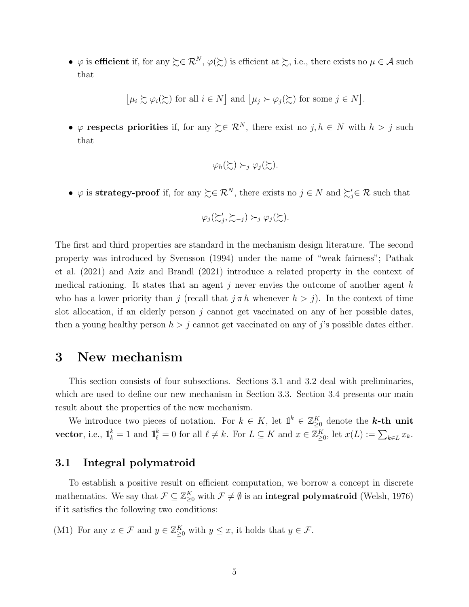•  $\varphi$  is efficient if, for any  $\succsim \in \mathcal{R}^N$ ,  $\varphi(\succsim)$  is efficient at  $\succsim$ , i.e., there exists no  $\mu \in \mathcal{A}$  such that

 $\lbrack \mu_i \succsim \varphi_i(\succsim) \text{ for all } i \in N \rbrack$  and  $\lbrack \mu_j \succ \varphi_j(\succsim) \text{ for some } j \in N \rbrack$ .

•  $\varphi$  respects priorities if, for any  $\succeq \in \mathcal{R}^N$ , there exist no  $j, h \in N$  with  $h > j$  such that

$$
\varphi_h(\succsim) \succ_j \varphi_j(\succsim).
$$

•  $\varphi$  is strategy-proof if, for any  $\succsim \in \mathcal{R}^N$ , there exists no  $j \in N$  and  $\succsim_j' \in \mathcal{R}$  such that

$$
\varphi_j(\succsim'_j, \succsim_{-j}) \succ_j \varphi_j(\succsim).
$$

The first and third properties are standard in the mechanism design literature. The second property was introduced by Svensson (1994) under the name of "weak fairness"; Pathak et al. (2021) and Aziz and Brandl (2021) introduce a related property in the context of medical rationing. It states that an agent j never envies the outcome of another agent h who has a lower priority than j (recall that  $j \pi h$  whenever  $h > j$ ). In the context of time slot allocation, if an elderly person  $j$  cannot get vaccinated on any of her possible dates, then a young healthy person  $h > j$  cannot get vaccinated on any of j's possible dates either.

### 3 New mechanism

This section consists of four subsections. Sections 3.1 and 3.2 deal with preliminaries, which are used to define our new mechanism in Section 3.3. Section 3.4 presents our main result about the properties of the new mechanism.

We introduce two pieces of notation. For  $k \in K$ , let  $\mathbb{1}^k \in \mathbb{Z}_{\geq 0}^K$  denote the **k-th unit vector**, i.e.,  $\mathbf{1}_k^k = 1$  and  $\mathbf{1}_\ell^k = 0$  for all  $\ell \neq k$ . For  $L \subseteq K$  and  $x \in \mathbb{Z}_{\geq 0}^K$ , let  $x(L) := \sum_{k \in L} x_k$ .

#### 3.1 Integral polymatroid

To establish a positive result on efficient computation, we borrow a concept in discrete mathematics. We say that  $\mathcal{F} \subseteq \mathbb{Z}_{\geq 0}^K$  with  $\mathcal{F} \neq \emptyset$  is an **integral polymatroid** (Welsh, 1976) if it satisfies the following two conditions:

(M1) For any  $x \in \mathcal{F}$  and  $y \in \mathbb{Z}_{\geq 0}^K$  with  $y \leq x$ , it holds that  $y \in \mathcal{F}$ .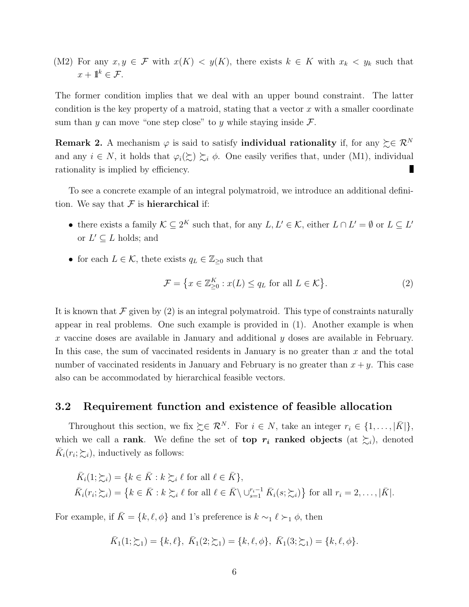(M2) For any  $x, y \in \mathcal{F}$  with  $x(K) < y(K)$ , there exists  $k \in K$  with  $x_k < y_k$  such that  $x + 1\mathbf{k} \in \mathcal{F}$ .

The former condition implies that we deal with an upper bound constraint. The latter condition is the key property of a matroid, stating that a vector  $x$  with a smaller coordinate sum than y can move "one step close" to y while staying inside  $\mathcal{F}$ .

Remark 2. A mechanism  $\varphi$  is said to satisfy individual rationality if, for any  $\succeq \in \mathcal{R}^N$ and any  $i \in N$ , it holds that  $\varphi_i(\succsim) \succsim_i \phi$ . One easily verifies that, under (M1), individual rationality is implied by efficiency.

To see a concrete example of an integral polymatroid, we introduce an additional definition. We say that  $\mathcal F$  is **hierarchical** if:

- there exists a family  $\mathcal{K} \subseteq 2^K$  such that, for any  $L, L' \in \mathcal{K}$ , either  $L \cap L' = \emptyset$  or  $L \subseteq L'$ or  $L' \subseteq L$  holds; and
- for each  $L \in \mathcal{K}$ , thete exists  $q_L \in \mathbb{Z}_{\geq 0}$  such that

$$
\mathcal{F} = \left\{ x \in \mathbb{Z}_{\geq 0}^K : x(L) \leq q_L \text{ for all } L \in \mathcal{K} \right\}.
$$
 (2)

It is known that  $\mathcal F$  given by (2) is an integral polymatroid. This type of constraints naturally appear in real problems. One such example is provided in (1). Another example is when x vaccine doses are available in January and additional y doses are available in February. In this case, the sum of vaccinated residents in January is no greater than  $x$  and the total number of vaccinated residents in January and February is no greater than  $x + y$ . This case also can be accommodated by hierarchical feasible vectors.

#### 3.2 Requirement function and existence of feasible allocation

Throughout this section, we fix  $\succeq \in \mathcal{R}^N$ . For  $i \in N$ , take an integer  $r_i \in \{1, ..., |\bar{K}|\}$ , which we call a rank. We define the set of top  $r_i$  ranked objects (at  $\sum_i$ ), denoted  $\bar{K}_i(r_i; \sum_i)$ , inductively as follows:

$$
\overline{K}_i(1; \Sigma_i) = \{ k \in \overline{K} : k \succsim_i \ell \text{ for all } \ell \in \overline{K} \},
$$
  

$$
\overline{K}_i(r_i; \Sigma_i) = \{ k \in \overline{K} : k \succsim_i \ell \text{ for all } \ell \in \overline{K} \setminus \cup_{s=1}^{r_i-1} \overline{K}_i(s; \Sigma_i) \} \text{ for all } r_i = 2, ..., |\overline{K}|.
$$

For example, if  $\bar{K} = \{k, \ell, \phi\}$  and 1's preference is  $k \sim_1 \ell \succ_1 \phi$ , then

$$
\bar{K}_1(1;\xi_1) = \{k,\ell\}, \ \bar{K}_1(2;\xi_1) = \{k,\ell,\phi\}, \ \bar{K}_1(3;\xi_1) = \{k,\ell,\phi\}.
$$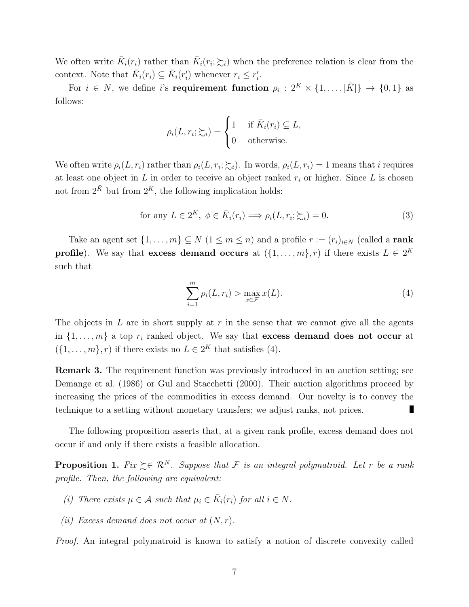We often write  $\bar{K}_i(r_i)$  rather than  $\bar{K}_i(r_i;\xi_i)$  when the preference relation is clear from the context. Note that  $\bar{K}_i(r_i) \subseteq \bar{K}_i(r_i')$  whenever  $r_i \leq r_i'$ .

For  $i \in N$ , we define i's **requirement function**  $\rho_i : 2^K \times \{1, ..., |\bar{K}|\} \rightarrow \{0, 1\}$  as follows:

$$
\rho_i(L, r_i; \succsim_i) = \begin{cases} 1 & \text{if } \bar{K}_i(r_i) \subseteq L, \\ 0 & \text{otherwise.} \end{cases}
$$

We often write  $\rho_i(L, r_i)$  rather than  $\rho_i(L, r_i; \sum_i)$ . In words,  $\rho_i(L, r_i) = 1$  means that i requires at least one object in  $L$  in order to receive an object ranked  $r_i$  or higher. Since  $L$  is chosen not from  $2^{\bar{K}}$  but from  $2^K$ , the following implication holds:

for any 
$$
L \in 2^K
$$
,  $\phi \in \overline{K}_i(r_i) \Longrightarrow \rho_i(L, r_i; \succsim_i) = 0.$  (3)

Take an agent set  $\{1, \ldots, m\} \subseteq N$   $(1 \leq m \leq n)$  and a profile  $r := (r_i)_{i \in N}$  (called a rank **profile**). We say that **excess demand occurs** at  $(\{1, \ldots, m\}, r)$  if there exists  $L \in 2^K$ such that

$$
\sum_{i=1}^{m} \rho_i(L, r_i) > \max_{x \in \mathcal{F}} x(L). \tag{4}
$$

The objects in L are in short supply at  $r$  in the sense that we cannot give all the agents in  $\{1, \ldots, m\}$  a top  $r_i$  ranked object. We say that **excess demand does not occur** at  $(\{1,\ldots,m\},r)$  if there exists no  $L \in 2^K$  that satisfies (4).

Remark 3. The requirement function was previously introduced in an auction setting; see Demange et al. (1986) or Gul and Stacchetti (2000). Their auction algorithms proceed by increasing the prices of the commodities in excess demand. Our novelty is to convey the technique to a setting without monetary transfers; we adjust ranks, not prices.

The following proposition asserts that, at a given rank profile, excess demand does not occur if and only if there exists a feasible allocation.

**Proposition 1.** Fix  $\succeq \in \mathbb{R}^N$ . Suppose that F is an integral polymatroid. Let r be a rank profile. Then, the following are equivalent:

- (i) There exists  $\mu \in \mathcal{A}$  such that  $\mu_i \in \overline{K}_i(r_i)$  for all  $i \in \mathbb{N}$ .
- (ii) Excess demand does not occur at  $(N, r)$ .

Proof. An integral polymatroid is known to satisfy a notion of discrete convexity called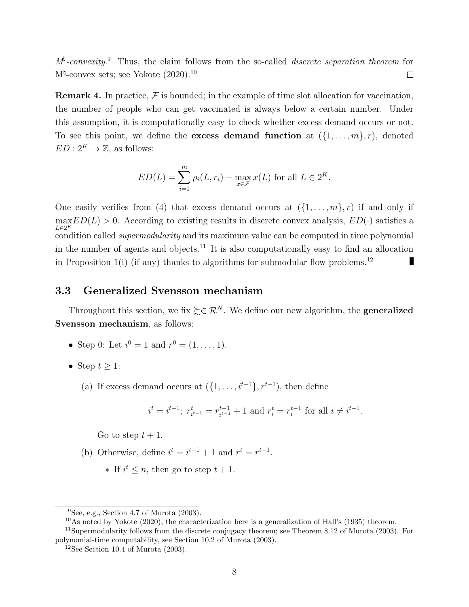$M^{\natural}$ -convexity. Thus, the claim follows from the so-called *discrete separation theorem* for  $M^{\natural}$ -convex sets; see Yokote (2020).<sup>10</sup>  $\Box$ 

**Remark 4.** In practice,  $\mathcal{F}$  is bounded; in the example of time slot allocation for vaccination, the number of people who can get vaccinated is always below a certain number. Under this assumption, it is computationally easy to check whether excess demand occurs or not. To see this point, we define the **excess demand function** at  $(\{1, \ldots, m\}, r)$ , denoted  $ED: 2^K \rightarrow \mathbb{Z}$ , as follows:

$$
ED(L) = \sum_{i=1}^{m} \rho_i(L, r_i) - \max_{x \in \mathcal{F}} x(L)
$$
 for all  $L \in 2^K$ .

One easily verifies from (4) that excess demand occurs at  $(\{1, \ldots, m\}, r)$  if and only if  $\max E D(L) > 0$ . According to existing results in discrete convex analysis,  $ED(\cdot)$  satisfies a  $L\in 2^K$  $\sum_{k=2}^{L\in\mathbb{Z}}$  condition called *supermodularity* and its maximum value can be computed in time polynomial in the number of agents and objects.<sup>11</sup> It is also computationally easy to find an allocation in Proposition  $1(i)$  (if any) thanks to algorithms for submodular flow problems.<sup>12</sup> Г

#### 3.3 Generalized Svensson mechanism

Throughout this section, we fix  $\succeq \in \mathcal{R}^N$ . We define our new algorithm, the **generalized** Svensson mechanism, as follows:

- Step 0: Let  $i^0 = 1$  and  $r^0 = (1, ..., 1)$ .
- Step  $t \geq 1$ :
	- (a) If excess demand occurs at  $({1,\ldots,i^{t-1}}), r^{t-1})$ , then define

$$
i^t = i^{t-1}
$$
;  $r_{i^{t-1}}^t = r_{i^{t-1}}^{t-1} + 1$  and  $r_i^t = r_i^{t-1}$  for all  $i \neq i^{t-1}$ .

Go to step  $t + 1$ .

- (b) Otherwise, define  $i^t = i^{t-1} + 1$  and  $r^t = r^{t-1}$ .
	- $\ast$  If  $i^t$  ≤ *n*, then go to step  $t + 1$ .

 ${}^{9}$ See, e.g., Section 4.7 of Murota (2003).

<sup>10</sup>As noted by Yokote (2020), the characterization here is a generalization of Hall's (1935) theorem.

<sup>11</sup>Supermodularity follows from the discrete conjugacy theorem; see Theorem 8.12 of Murota (2003). For polynomial-time computability, see Section 10.2 of Murota (2003).

<sup>&</sup>lt;sup>12</sup>See Section 10.4 of Murota  $(2003)$ .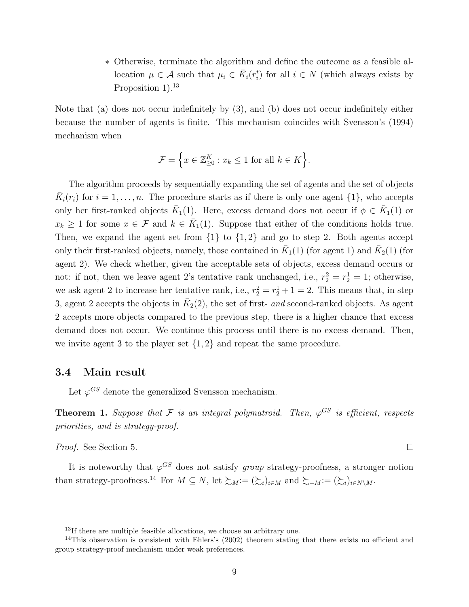∗ Otherwise, terminate the algorithm and define the outcome as a feasible allocation  $\mu \in \mathcal{A}$  such that  $\mu_i \in \overline{K}_i(r_i^t)$  for all  $i \in \mathcal{N}$  (which always exists by Proposition  $1$ ).<sup>13</sup>

Note that (a) does not occur indefinitely by (3), and (b) does not occur indefinitely either because the number of agents is finite. This mechanism coincides with Svensson's (1994) mechanism when

$$
\mathcal{F} = \left\{ x \in \mathbb{Z}_{\geq 0}^K : x_k \leq 1 \text{ for all } k \in K \right\}.
$$

The algorithm proceeds by sequentially expanding the set of agents and the set of objects  $\bar{K}_i(r_i)$  for  $i = 1, \ldots, n$ . The procedure starts as if there is only one agent  $\{1\}$ , who accepts only her first-ranked objects  $\bar{K}_1(1)$ . Here, excess demand does not occur if  $\phi \in \bar{K}_1(1)$  or  $x_k \geq 1$  for some  $x \in \mathcal{F}$  and  $k \in \overline{K}_1(1)$ . Suppose that either of the conditions holds true. Then, we expand the agent set from  $\{1\}$  to  $\{1,2\}$  and go to step 2. Both agents accept only their first-ranked objects, namely, those contained in  $\bar{K}_1(1)$  (for agent 1) and  $\bar{K}_2(1)$  (for agent 2). We check whether, given the acceptable sets of objects, excess demand occurs or not: if not, then we leave agent 2's tentative rank unchanged, i.e.,  $r_2^2 = r_2^1 = 1$ ; otherwise, we ask agent 2 to increase her tentative rank, i.e.,  $r_2^2 = r_2^1 + 1 = 2$ . This means that, in step 3, agent 2 accepts the objects in  $\overline{K}_2(2)$ , the set of first- and second-ranked objects. As agent 2 accepts more objects compared to the previous step, there is a higher chance that excess demand does not occur. We continue this process until there is no excess demand. Then, we invite agent 3 to the player set  $\{1,2\}$  and repeat the same procedure.

#### 3.4 Main result

Let  $\varphi^{GS}$  denote the generalized Svensson mechanism.

**Theorem 1.** Suppose that F is an integral polymatroid. Then,  $\varphi^{GS}$  is efficient, respects priorities, and is strategy-proof.

 $\Box$ 

Proof. See Section 5.

It is noteworthy that  $\varphi^{GS}$  does not satisfy group strategy-proofness, a stronger notion than strategy-proofness.<sup>14</sup> For  $M \subseteq N$ , let  $\succsim_{M} := (\succsim_{i})_{i \in M}$  and  $\succsim_{-M} := (\succsim_{i})_{i \in N \setminus M}$ .

<sup>&</sup>lt;sup>13</sup>If there are multiple feasible allocations, we choose an arbitrary one.

<sup>&</sup>lt;sup>14</sup>This observation is consistent with Ehlers's (2002) theorem stating that there exists no efficient and group strategy-proof mechanism under weak preferences.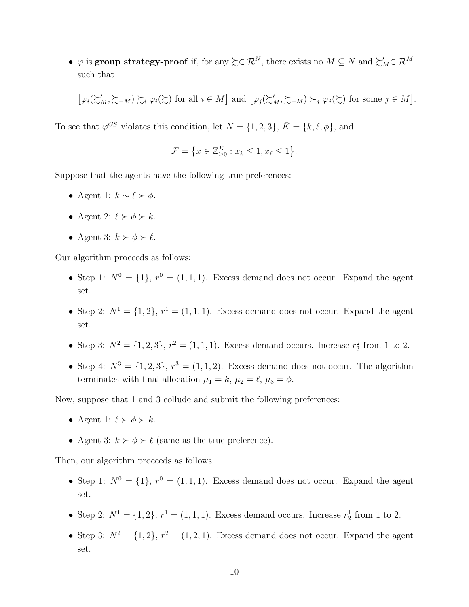•  $\varphi$  is group strategy-proof if, for any  $\succsim \in \mathcal{R}^N$ , there exists no  $M \subseteq N$  and  $\succsim_M \in \mathcal{R}^M$ such that

$$
\left[\varphi_i(\mathcal{L}_M', \mathcal{L}_{-M}) \mathcal{L}_i \varphi_i(\mathcal{L}) \text{ for all } i \in M\right] \text{ and } \left[\varphi_j(\mathcal{L}_M', \mathcal{L}_{-M}) \succ_j \varphi_j(\mathcal{L}) \text{ for some } j \in M\right].
$$

To see that  $\varphi^{GS}$  violates this condition, let  $N = \{1, 2, 3\}, \overline{K} = \{k, \ell, \phi\},\$ and

$$
\mathcal{F} = \left\{ x \in \mathbb{Z}_{\geq 0}^K : x_k \leq 1, x_\ell \leq 1 \right\}.
$$

Suppose that the agents have the following true preferences:

- Agent 1:  $k \sim \ell \succ \phi$ .
- Agent 2:  $\ell \succ \phi \succ k$ .
- Agent 3:  $k \succ \phi \succ \ell$ .

Our algorithm proceeds as follows:

- Step 1:  $N^0 = \{1\}$ ,  $r^0 = (1, 1, 1)$ . Excess demand does not occur. Expand the agent set.
- Step 2:  $N^1 = \{1, 2\}, r^1 = (1, 1, 1)$ . Excess demand does not occur. Expand the agent set.
- Step 3:  $N^2 = \{1, 2, 3\}, r^2 = (1, 1, 1)$ . Excess demand occurs. Increase  $r_3^2$  from 1 to 2.
- Step 4:  $N^3 = \{1, 2, 3\}, r^3 = (1, 1, 2)$ . Excess demand does not occur. The algorithm terminates with final allocation  $\mu_1 = k$ ,  $\mu_2 = \ell$ ,  $\mu_3 = \phi$ .

Now, suppose that 1 and 3 collude and submit the following preferences:

- Agent 1:  $\ell \succ \phi \succ k$ .
- Agent 3:  $k \succ \phi \succ \ell$  (same as the true preference).

Then, our algorithm proceeds as follows:

- Step 1:  $N^0 = \{1\}$ ,  $r^0 = (1, 1, 1)$ . Excess demand does not occur. Expand the agent set.
- Step 2:  $N^1 = \{1, 2\}, r^1 = (1, 1, 1)$ . Excess demand occurs. Increase  $r_2^1$  from 1 to 2.
- Step 3:  $N^2 = \{1, 2\}, r^2 = (1, 2, 1)$ . Excess demand does not occur. Expand the agent set.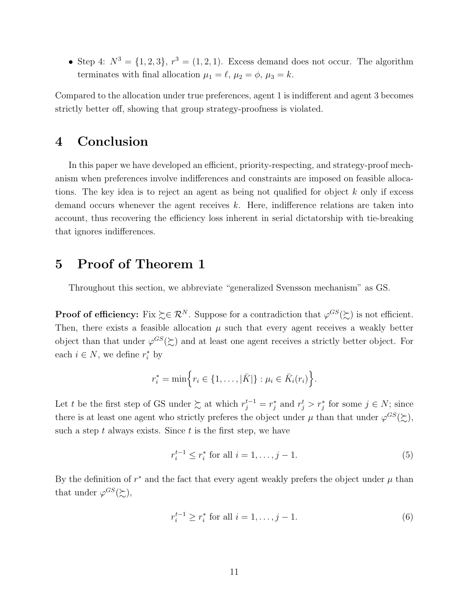• Step 4:  $N^3 = \{1, 2, 3\}, r^3 = (1, 2, 1)$ . Excess demand does not occur. The algorithm terminates with final allocation  $\mu_1 = \ell, \mu_2 = \phi, \mu_3 = k$ .

Compared to the allocation under true preferences, agent 1 is indifferent and agent 3 becomes strictly better off, showing that group strategy-proofness is violated.

# 4 Conclusion

In this paper we have developed an efficient, priority-respecting, and strategy-proof mechanism when preferences involve indifferences and constraints are imposed on feasible allocations. The key idea is to reject an agent as being not qualified for object  $k$  only if excess demand occurs whenever the agent receives k. Here, indifference relations are taken into account, thus recovering the efficiency loss inherent in serial dictatorship with tie-breaking that ignores indifferences.

# 5 Proof of Theorem 1

Throughout this section, we abbreviate "generalized Svensson mechanism" as GS.

**Proof of efficiency:** Fix  $\succeq \in \mathbb{R}^N$ . Suppose for a contradiction that  $\varphi^{GS}(\succeq)$  is not efficient. Then, there exists a feasible allocation  $\mu$  such that every agent receives a weakly better object than that under  $\varphi^{GS}(\gtrsim)$  and at least one agent receives a strictly better object. For each  $i \in N$ , we define  $r_i^*$  by

$$
r_i^* = \min \Big\{ r_i \in \{1, \ldots, |\bar{K}| \} : \mu_i \in \bar{K}_i(r_i) \Big\}.
$$

Let t be the first step of GS under  $\sum$  at which  $r_j^{t-1} = r_j^*$  and  $r_j^t > r_j^*$  for some  $j \in N$ ; since there is at least one agent who strictly preferes the object under  $\mu$  than that under  $\varphi^{GS}(\gtrsim)$ , such a step t always exists. Since t is the first step, we have

$$
r_i^{t-1} \le r_i^* \text{ for all } i = 1, \dots, j - 1. \tag{5}
$$

By the definition of  $r^*$  and the fact that every agent weakly prefers the object under  $\mu$  than that under  $\varphi^{GS}(\succsim),$ 

$$
r_i^{t-1} \ge r_i^* \text{ for all } i = 1, \dots, j-1. \tag{6}
$$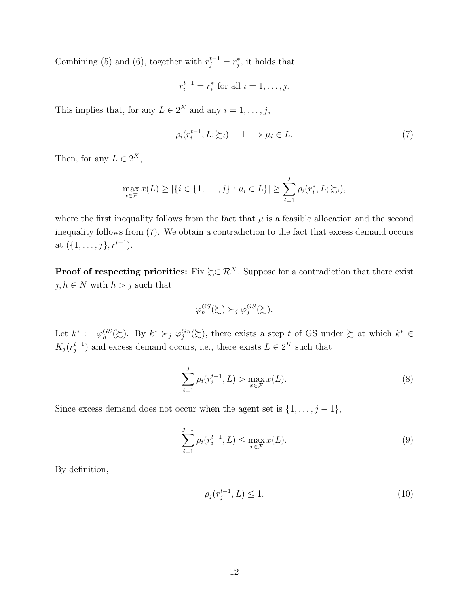Combining (5) and (6), together with  $r_j^{t-1} = r_j^*$ , it holds that

$$
r_i^{t-1} = r_i^*
$$
 for all  $i = 1, ..., j$ .

This implies that, for any  $L \in 2^K$  and any  $i = 1, \ldots, j$ ,

$$
\rho_i(r_i^{t-1}, L; \sum_i) = 1 \Longrightarrow \mu_i \in L. \tag{7}
$$

Then, for any  $L \in 2^K$ ,

$$
\max_{x \in \mathcal{F}} x(L) \ge |\{i \in \{1, \ldots, j\} : \mu_i \in L\}| \ge \sum_{i=1}^j \rho_i(r_i^*, L; \succsim_i),
$$

where the first inequality follows from the fact that  $\mu$  is a feasible allocation and the second inequality follows from (7). We obtain a contradiction to the fact that excess demand occurs at  $({1, \ldots, j}, r^{t-1}).$ 

**Proof of respecting priorities:** Fix  $\succeq \in \mathbb{R}^N$ . Suppose for a contradiction that there exist  $j, h \in N$  with  $h > j$  such that

$$
\varphi_h^{GS}(\succsim) \succ_j \varphi_j^{GS}(\succsim).
$$

Let  $k^* := \varphi_h^{GS}(\succsim)$ . By  $k^* \succ_j \varphi_j^{GS}(\succsim)$ , there exists a step t of GS under  $\succsim$  at which  $k^* \in$  $\bar{K}_j(r_j^{t-1})$  $j^{t-1}_{j}$  and excess demand occurs, i.e., there exists  $L \in 2^K$  such that

$$
\sum_{i=1}^{j} \rho_i(r_i^{t-1}, L) > \max_{x \in \mathcal{F}} x(L).
$$
 (8)

Since excess demand does not occur when the agent set is  $\{1, \ldots, j-1\}$ ,

$$
\sum_{i=1}^{j-1} \rho_i(r_i^{t-1}, L) \le \max_{x \in \mathcal{F}} x(L).
$$
 (9)

By definition,

$$
\rho_j(r_j^{t-1}, L) \le 1. \tag{10}
$$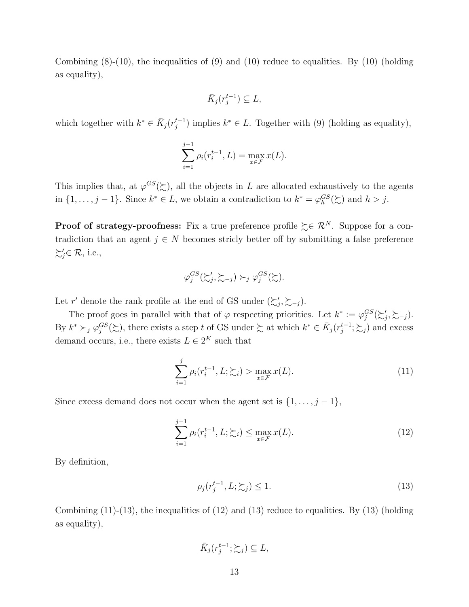Combining  $(8)-(10)$ , the inequalities of  $(9)$  and  $(10)$  reduce to equalities. By  $(10)$  (holding as equality),

$$
\bar{K}_j(r_j^{t-1}) \subseteq L,
$$

which together with  $k^* \in \overline{K}_j(r_j^{t-1})$  $j^{t-1}$ ) implies  $k^* \in L$ . Together with (9) (holding as equality),

$$
\sum_{i=1}^{j-1} \rho_i(r_i^{t-1}, L) = \max_{x \in \mathcal{F}} x(L).
$$

This implies that, at  $\varphi^{GS}(\gtrsim)$ , all the objects in L are allocated exhaustively to the agents in  $\{1,\ldots,j-1\}$ . Since  $k^* \in L$ , we obtain a contradiction to  $k^* = \varphi_h^{GS}(\succsim)$  and  $h > j$ .

**Proof of strategy-proofness:** Fix a true preference profile  $\succeq \in \mathcal{R}^N$ . Suppose for a contradiction that an agent  $j \in N$  becomes stricly better off by submitting a false preference  $\succsim'_j \in \mathcal{R}$ , i.e.,

$$
\varphi_j^{GS}(\succsim'_j, \succsim_{-j}) \succ_j \varphi_j^{GS}(\succsim).
$$

Let r' denote the rank profile at the end of GS under  $(\succsim j, \succsim -j)$ .

The proof goes in parallel with that of  $\varphi$  respecting priorities. Let  $k^* := \varphi_j^{GS}(\succsim'_j, \succsim_{-j})$ . By  $k^* \succ_j \varphi_j^{GS}(\succsim)$ , there exists a step t of GS under  $\succsim$  at which  $k^* \in \overline{K}_j(r_j^{t-1})$  $j^{t-1}$ ;  $\succsim j$ ) and excess demand occurs, i.e., there exists  $L \in 2^K$  such that

$$
\sum_{i=1}^{j} \rho_i(r_i^{t-1}, L; \sum_i) > \max_{x \in \mathcal{F}} x(L). \tag{11}
$$

Since excess demand does not occur when the agent set is  $\{1, \ldots, j-1\}$ ,

$$
\sum_{i=1}^{j-1} \rho_i(r_i^{t-1}, L; \sum_i) \le \max_{x \in \mathcal{F}} x(L). \tag{12}
$$

By definition,

$$
\rho_j(r_j^{t-1}, L; \succsim_j) \le 1. \tag{13}
$$

Combining  $(11)-(13)$ , the inequalities of  $(12)$  and  $(13)$  reduce to equalities. By  $(13)$  (holding as equality),

$$
\bar{K}_j(r_j^{t-1}; \succsim_j) \subseteq L,
$$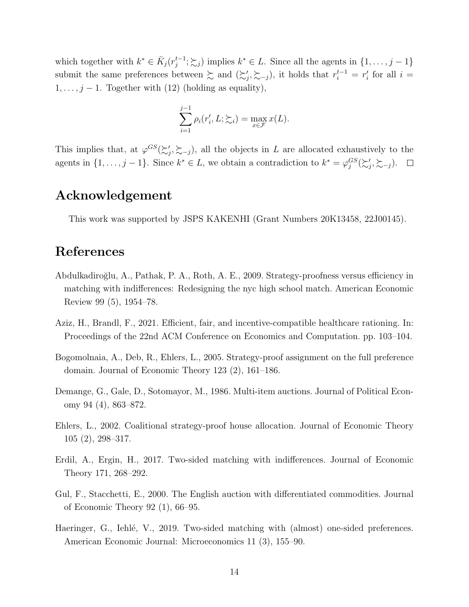which together with  $k^* \in \overline{K}_j(r_j^{t-1})$  $j_j^{t-1}$ ;  $\succsim_j$ ) implies  $k^* \in L$ . Since all the agents in  $\{1, \ldots, j-1\}$ submit the same preferences between  $\sum$  and  $(\sum_j', \sum_{j=1})$ , it holds that  $r_i^{t-1} = r_i'$  for all  $i =$  $1, \ldots, j-1$ . Together with (12) (holding as equality),

$$
\sum_{i=1}^{j-1} \rho_i(r'_i, L; \xi_i) = \max_{x \in \mathcal{F}} x(L).
$$

This implies that, at  $\varphi^{GS}(\succsim'_j, \succsim_{-j})$ , all the objects in L are allocated exhaustively to the agents in  $\{1,\ldots,j-1\}$ . Since  $k^* \in L$ , we obtain a contradiction to  $k^* = \varphi_j^{GS}(\succsim_j', \succsim_{-j}).$ 

## Acknowledgement

This work was supported by JSPS KAKENHI (Grant Numbers 20K13458, 22J00145).

# References

- Abdulkadiro˘glu, A., Pathak, P. A., Roth, A. E., 2009. Strategy-proofness versus efficiency in matching with indifferences: Redesigning the nyc high school match. American Economic Review 99 (5), 1954–78.
- Aziz, H., Brandl, F., 2021. Efficient, fair, and incentive-compatible healthcare rationing. In: Proceedings of the 22nd ACM Conference on Economics and Computation. pp. 103–104.
- Bogomolnaia, A., Deb, R., Ehlers, L., 2005. Strategy-proof assignment on the full preference domain. Journal of Economic Theory 123 (2), 161–186.
- Demange, G., Gale, D., Sotomayor, M., 1986. Multi-item auctions. Journal of Political Economy 94 (4), 863–872.
- Ehlers, L., 2002. Coalitional strategy-proof house allocation. Journal of Economic Theory 105 (2), 298–317.
- Erdil, A., Ergin, H., 2017. Two-sided matching with indifferences. Journal of Economic Theory 171, 268–292.
- Gul, F., Stacchetti, E., 2000. The English auction with differentiated commodities. Journal of Economic Theory 92 (1), 66–95.
- Haeringer, G., Iehlé, V., 2019. Two-sided matching with (almost) one-sided preferences. American Economic Journal: Microeconomics 11 (3), 155–90.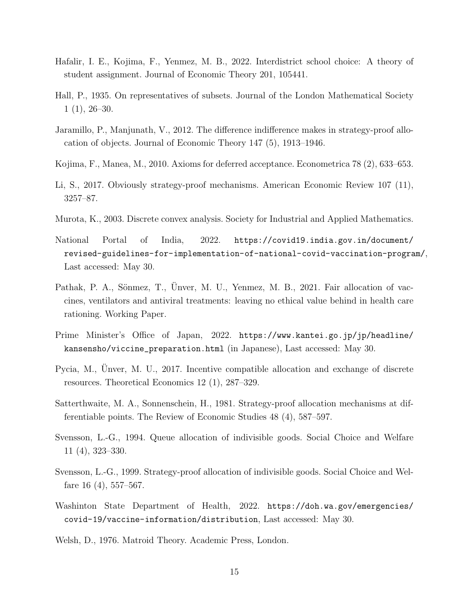- Hafalir, I. E., Kojima, F., Yenmez, M. B., 2022. Interdistrict school choice: A theory of student assignment. Journal of Economic Theory 201, 105441.
- Hall, P., 1935. On representatives of subsets. Journal of the London Mathematical Society  $1(1), 26-30.$
- Jaramillo, P., Manjunath, V., 2012. The difference indifference makes in strategy-proof allocation of objects. Journal of Economic Theory 147 (5), 1913–1946.
- Kojima, F., Manea, M., 2010. Axioms for deferred acceptance. Econometrica 78 (2), 633–653.
- Li, S., 2017. Obviously strategy-proof mechanisms. American Economic Review 107 (11), 3257–87.
- Murota, K., 2003. Discrete convex analysis. Society for Industrial and Applied Mathematics.
- National Portal of India, 2022. https://covid19.india.gov.in/document/ revised-guidelines-for-implementation-of-national-covid-vaccination-program/, Last accessed: May 30.
- Pathak, P. A., Sönmez, T., Ünver, M. U., Yenmez, M. B., 2021. Fair allocation of vaccines, ventilators and antiviral treatments: leaving no ethical value behind in health care rationing. Working Paper.
- Prime Minister's Office of Japan, 2022. https://www.kantei.go.jp/jp/headline/ kansensho/viccine\_preparation.html (in Japanese), Last accessed: May 30.
- Pycia, M., Unver, M. U., 2017. Incentive compatible allocation and exchange of discrete resources. Theoretical Economics 12 (1), 287–329.
- Satterthwaite, M. A., Sonnenschein, H., 1981. Strategy-proof allocation mechanisms at differentiable points. The Review of Economic Studies 48 (4), 587–597.
- Svensson, L.-G., 1994. Queue allocation of indivisible goods. Social Choice and Welfare 11 (4), 323–330.
- Svensson, L.-G., 1999. Strategy-proof allocation of indivisible goods. Social Choice and Welfare 16 (4), 557–567.
- Washinton State Department of Health, 2022. https://doh.wa.gov/emergencies/ covid-19/vaccine-information/distribution, Last accessed: May 30.
- Welsh, D., 1976. Matroid Theory. Academic Press, London.